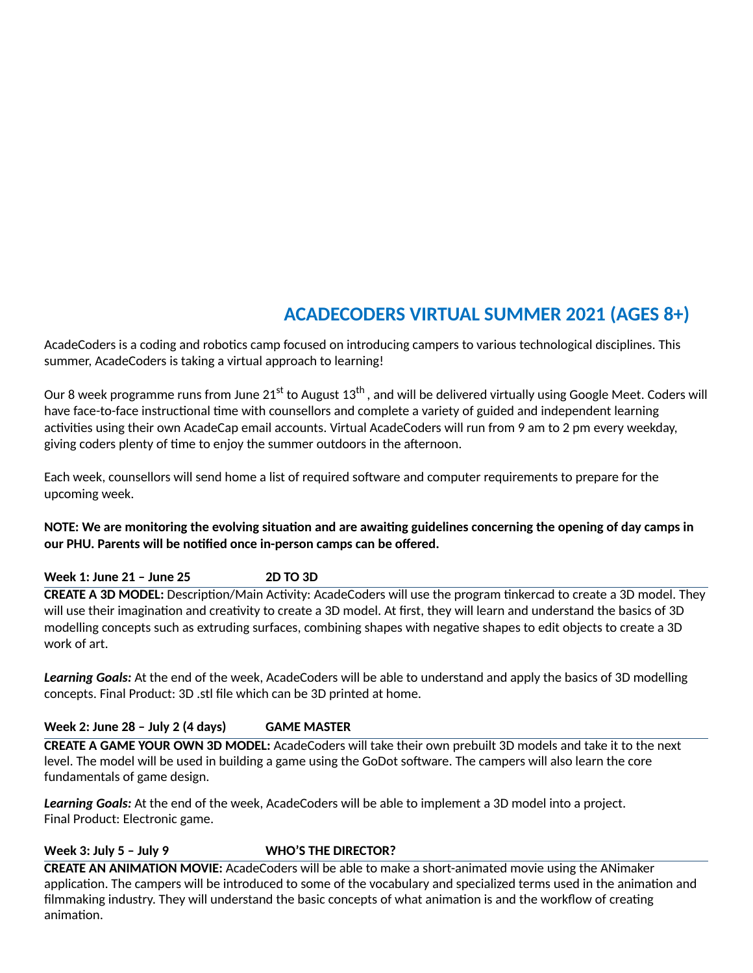# **ACADECODERS VIRTUAL SUMMER 2021 (AGES 8+)**

AcadeCoders is a coding and robotics camp focused on introducing campers to various technological disciplines. This summer, AcadeCoders is taking a virtual approach to learning!

Our 8 week programme runs from June 21<sup>st</sup> to August 13<sup>th</sup> , and will be delivered virtually using Google Meet. Coders will have face-to-face instructional time with counsellors and complete a variety of guided and independent learning activities using their own AcadeCap email accounts. Virtual AcadeCoders will run from 9 am to 2 pm every weekday, giving coders plenty of time to enjoy the summer outdoors in the afternoon.

Each week, counsellors will send home a list of required software and computer requirements to prepare for the upcoming week.

# NOTE: We are monitoring the evolving situation and are awaiting guidelines concerning the opening of day camps in **our PHU. Parents will be nofied once in-person camps can be offered.**

**Week 1: June 21 – June 25 2D TO 3D**

**CREATE A 3D MODEL:** Description/Main Activity: AcadeCoders will use the program tinkercad to create a 3D model. They will use their imagination and creativity to create a 3D model. At first, they will learn and understand the basics of 3D modelling concepts such as extruding surfaces, combining shapes with negative shapes to edit objects to create a 3D work of art.

*Learning Goals:* At the end of the week, AcadeCoders will be able to understand and apply the basics of 3D modelling concepts. Final Product: 3D .stl file which can be 3D printed at home.

**Week 2: June 28 – July 2 (4 days) GAME MASTER**

**CREATE A GAME YOUR OWN 3D MODEL:** AcadeCoders will take their own prebuilt 3D models and take it to the next level. The model will be used in building a game using the GoDot software. The campers will also learn the core fundamentals of game design.

*Learning Goals:* At the end of the week, AcadeCoders will be able to implement a 3D model into a project. Final Product: Electronic game.

**Week 3: July 5 – July 9 WHO'S THE DIRECTOR?**

**CREATE AN ANIMATION MOVIE:** AcadeCoders will be able to make a short-animated movie using the ANimaker application. The campers will be introduced to some of the vocabulary and specialized terms used in the animation and filmmaking industry. They will understand the basic concepts of what animation is and the workflow of creating animation.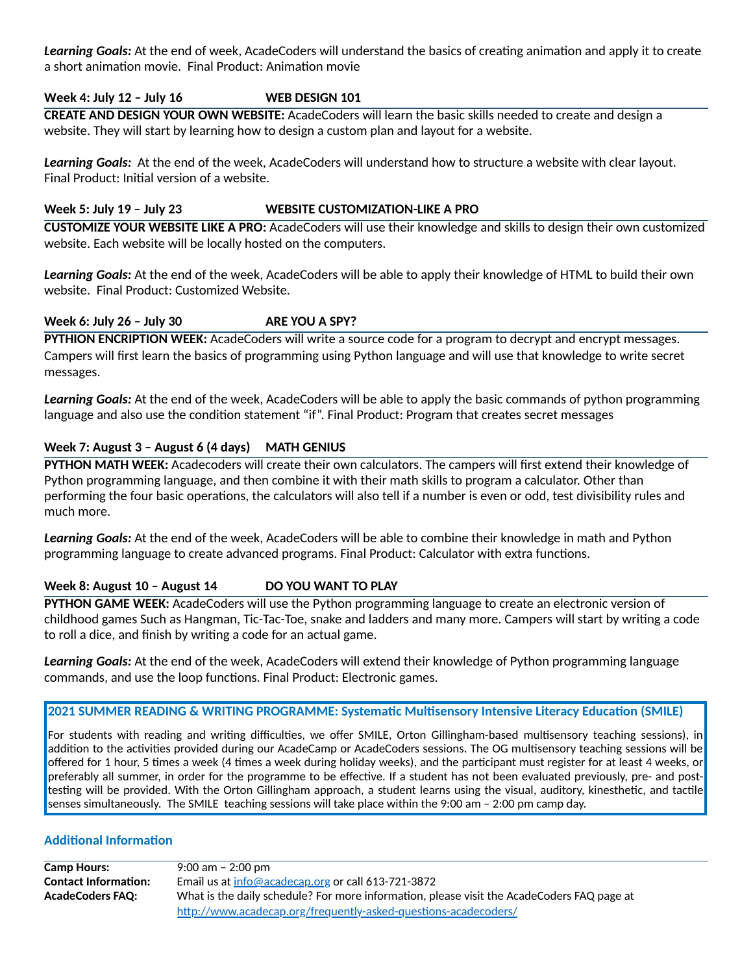**Learning Goals:** At the end of week, AcadeCoders will understand the basics of creating animation and apply it to create a short animation movie. Final Product: Animation movie

### **Week 4: July 12 – July 16 WEB DESIGN 101**

**CREATE AND DESIGN YOUR OWN WEBSITE:** AcadeCoders will learn the basic skills needed to create and design a website. They will start by learning how to design a custom plan and layout for a website.

*Learning Goals:* At the end of the week, AcadeCoders will understand how to structure a website with clear layout. Final Product: Initial version of a website.

#### **Week 5: July 19 – July 23 WEBSITE CUSTOMIZATION-LIKE A PRO**

**CUSTOMIZE YOUR WEBSITE LIKE A PRO:** AcadeCoders will use their knowledge and skills to design their own customized website. Each website will be locally hosted on the computers.

*Learning Goals:* At the end of the week, AcadeCoders will be able to apply their knowledge of HTML to build their own website. Final Product: Customized Website.

# **Week 6: July 26 – July 30 ARE YOU A SPY?**

**PYTHION ENCRIPTION WEEK:** AcadeCoders will write a source code for a program to decrypt and encrypt messages. Campers will first learn the basics of programming using Python language and will use that knowledge to write secret messages.

*Learning Goals:* At the end of the week, AcadeCoders will be able to apply the basic commands of python programming language and also use the condition statement "if". Final Product: Program that creates secret messages

# **Week 7: August 3 – August 6 (4 days) MATH GENIUS**

**PYTHON MATH WEEK:** Acadecoders will create their own calculators. The campers will first extend their knowledge of Python programming language, and then combine it with their math skills to program a calculator. Other than performing the four basic operations, the calculators will also tell if a number is even or odd, test divisibility rules and much more.

*Learning Goals:* At the end of the week, AcadeCoders will be able to combine their knowledge in math and Python programming language to create advanced programs. Final Product: Calculator with extra functions.

# **Week 8: August 10 – August 14 DO YOU WANT TO PLAY**

**PYTHON GAME WEEK:** AcadeCoders will use the Python programming language to create an electronic version of childhood games Such as Hangman, Tic-Tac-Toe, snake and ladders and many more. Campers will start by writing a code to roll a dice, and finish by writing a code for an actual game.

*Learning Goals:* At the end of the week, AcadeCoders will extend their knowledge of Python programming language commands, and use the loop functions. Final Product: Electronic games.

#### **2021 SUMMER READING & WRITING PROGRAMME: Systemac Mulsensory Intensive Literacy Educaon (SMILE)**

For students with reading and writing difficulties, we offer SMILE, Orton Gillingham-based multisensory teaching sessions), in addition to the activities provided during our AcadeCamp or AcadeCoders sessions. The OG multisensory teaching sessions will be offered for 1 hour, 5 times a week (4 times a week during holiday weeks), and the participant must register for at least 4 weeks, or preferably all summer, in order for the programme to be effective. If a student has not been evaluated previously, pre- and posttesting will be provided. With the Orton Gillingham approach, a student learns using the visual, auditory, kinesthetic, and tactile senses simultaneously. The SMILE teaching sessions will take place within the 9:00 am – 2:00 pm camp day.

# **Additional Information**

**Camp Hours:** 9:00 am – 2:00 pm **Contact Information:** Email us at [info@acadecap.org](mailto:info@acadecap.org) or call 613-721-3872 AcadeCoders **FAQ:** What is the daily schedule? For more information, please visit the AcadeCoders FAQ page at http://www.acadecap.org/frequently-asked-questions-acadecoders/